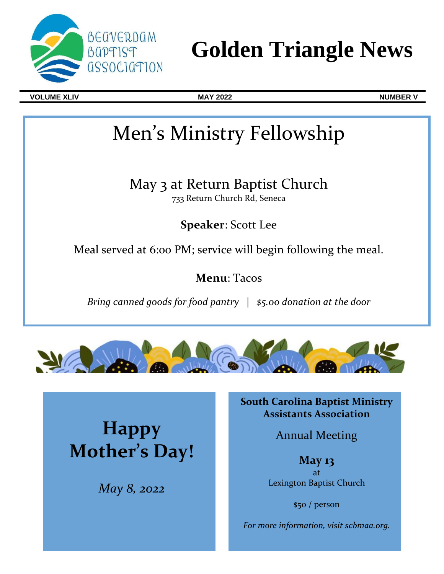

# **Golden Triangle News**

**VOLUME XLIV MAY 2022 NUMBER V**

# Men's Ministry Fellowship

May 3 at Return Baptist Church 733 Return Church Rd, Seneca

**Speaker**: Scott Lee

Meal served at 6:00 PM; service will begin following the meal.

**Menu**: Tacos

*Bring canned goods for food pantry* | *\$5.00 donation at the door*



**Happy Mother's Day!** 

*May 8, 2022*

**South Carolina Baptist Ministry Assistants Association**

Annual Meeting

**May 13** at Lexington Baptist Church

\$50 / person

*For more information, visit scbmaa.org.*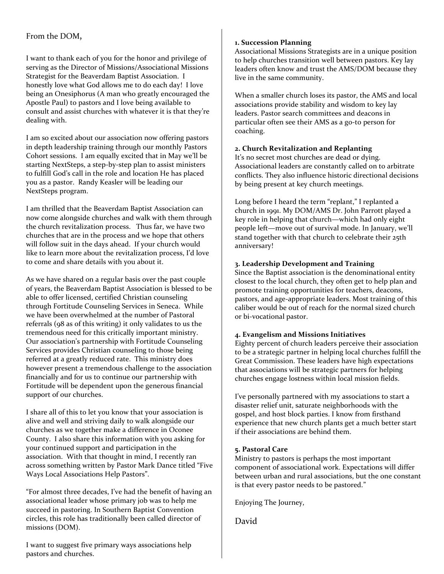# From the DOM,

I want to thank each of you for the honor and privilege of serving as the Director of Missions/Associational Missions Strategist for the Beaverdam Baptist Association. I honestly love what God allows me to do each day! I love being an Onesiphorus (A man who greatly encouraged the Apostle Paul) to pastors and I love being available to consult and assist churches with whatever it is that they're dealing with.

I am so excited about our association now offering pastors in depth leadership training through our monthly Pastors Cohort sessions. I am equally excited that in May we'll be starting NextSteps, a step-by-step plan to assist ministers to fulfill God's call in the role and location He has placed you as a pastor. Randy Keasler will be leading our NextSteps program.

I am thrilled that the Beaverdam Baptist Association can now come alongside churches and walk with them through the church revitalization process. Thus far, we have two churches that are in the process and we hope that others will follow suit in the days ahead. If your church would like to learn more about the revitalization process, I'd love to come and share details with you about it.

As we have shared on a regular basis over the past couple of years, the Beaverdam Baptist Association is blessed to be able to offer licensed, certified Christian counseling through Fortitude Counseling Services in Seneca. While we have been overwhelmed at the number of Pastoral referrals (98 as of this writing) it only validates to us the tremendous need for this critically important ministry. Our association's partnership with Fortitude Counseling Services provides Christian counseling to those being referred at a greatly reduced rate. This ministry does however present a tremendous challenge to the association financially and for us to continue our partnership with Fortitude will be dependent upon the generous financial support of our churches.

I share all of this to let you know that your association is alive and well and striving daily to walk alongside our churches as we together make a difference in Oconee County. I also share this information with you asking for your continued support and participation in the association. With that thought in mind, I recently ran across something written by Pastor Mark Dance titled "Five Ways Local Associations Help Pastors".

"For almost three decades, I've had the benefit of having an associational leader whose primary job was to help me succeed in pastoring. In Southern Baptist Convention circles, this role has traditionally been called director of missions (DOM).

I want to suggest five primary ways associations help pastors and churches.

### **1. Succession Planning**

Associational Missions Strategists are in a unique position to help churches transition well between pastors. Key lay leaders often know and trust the AMS/DOM because they live in the same community.

When a smaller church loses its pastor, the AMS and local associations provide stability and wisdom to key lay leaders. Pastor search committees and deacons in particular often see their AMS as a go-to person for coaching.

## **2. Church Revitalization and Replanting**

It's no secret most churches are dead or dying. Associational leaders are constantly called on to arbitrate conflicts. They also influence historic directional decisions by being present at key church meetings.

Long before I heard the term "replant," I replanted a church in 1991. My DOM/AMS Dr. John Parrott played a key role in helping that church—which had only eight people left—move out of survival mode. In January, we'll stand together with that church to celebrate their 25th anniversary!

## **3. Leadership Development and Training**

Since the Baptist association is the denominational entity closest to the local church, they often get to help plan and promote training opportunities for teachers, deacons, pastors, and age-appropriate leaders. Most training of this caliber would be out of reach for the normal sized church or bi-vocational pastor.

# **4. Evangelism and Missions Initiatives**

Eighty percent of church leaders perceive their association to be a strategic partner in helping local churches fulfill the Great Commission. These leaders have high expectations that associations will be strategic partners for helping churches engage lostness within local mission fields.

I've personally partnered with my associations to start a disaster relief unit, saturate neighborhoods with the gospel, and host block parties. I know from firsthand experience that new church plants get a much better start if their associations are behind them.

#### **5. Pastoral Care**

Ministry to pastors is perhaps the most important component of associational work. Expectations will differ between urban and rural associations, but the one constant is that every pastor needs to be pastored."

Enjoying The Journey,

David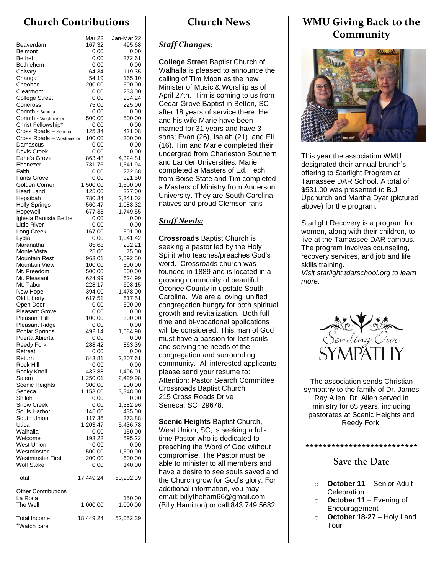# **Church Contributions**

|                                            | Mar 22           | Jan-Mar 22         |
|--------------------------------------------|------------------|--------------------|
| Beaverdam                                  | 167.32           | 495.68             |
| <b>Belmont</b>                             | 0.00             | 0.00               |
| Bethel                                     | 0.00             | 372.61             |
| Bethlehem<br>Calvary                       | 0.00<br>64.34    | 0.00<br>119.35     |
| Chauga                                     | 54.19            | 165.10             |
| Cheohee                                    | 200.00           | 600.00             |
| Clearmont                                  | 0.00             | 233.00             |
| <b>College Street</b>                      | 0.00             | 934.24             |
| Coneross                                   | 75.00            | 225.00             |
| Corinth - Seneca                           | 0.00             | 0.00               |
| Corinth - Westminster                      | 500.00           | 500.00             |
| Christ Fellowship*<br>Cross Roads - Seneca | 0.00<br>125.34   | 0.00<br>421.08     |
| Cross Roads - Westminster                  | 100.00           | 300.00             |
| Damascus                                   | 0.00             | 0.00               |
| Davis Creek                                | 0.00             | 0.00               |
| Earle's Grove                              | 863.48           | 4,324.81           |
| Ebenezer                                   | 731.76           | 1,541.94           |
| Faith                                      | 0.00             | 272.68             |
| <b>Fants Grove</b><br>Golden Corner        | 0.00<br>1,500.00 | 321.50<br>1,500.00 |
| Heart Land                                 | 125.00           | 327.00             |
| Hepsibah                                   | 780.34           | 2,341.02           |
| <b>Holly Springs</b>                       | 560.47           | 1,083.32           |
| Hopewell                                   | 677.33           | 1,749.55           |
| Iglesia Bautista Bethel                    | 0.00             | 0.00               |
| <b>Little River</b>                        | 0.00             | 0.00               |
| Long Creek                                 | 167.00           | 501.00             |
| Lydia<br>Maranatha                         | 0.00<br>85.68    | 1,041.42<br>232.21 |
| Monte Vista                                | 25.00            | 75.00              |
| <b>Mountain Rest</b>                       | 963.01           | 2,592.50           |
| Mountain View                              | 100.00           | 300.00             |
| Mt. Freedom                                | 500.00           | 500.00             |
| Mt. Pleasant                               | 624.99           | 624.99             |
| Mt. Tabor                                  | 228.17           | 698.15             |
| New Hope<br>Old Liberty                    | 394.00<br>617.51 | 1,478.00<br>617.51 |
| Open Door                                  | 0.00             | 500.00             |
| <b>Pleasant Grove</b>                      | 0.00             | 0.00               |
| <b>Pleasant Hill</b>                       | 100.00           | 300.00             |
| <b>Pleasant Ridge</b>                      | 0.00             | 0.00               |
| Poplar Springs                             | 492.14           | 1,584.90           |
| Puerta Abierta                             | 0.00             | 0.00               |
| <b>Reedy Fork</b><br>Retreat               | 288.42<br>0.00   | 863.39<br>0.00     |
| Return                                     | 843.81           | 2,307.61           |
| Rock Hill                                  | 0.00             | 0.00               |
| Rocky Knoll                                | 432.88           | 1,496.01           |
| Salem                                      | 1,250.01         | 2,499.98           |
| Scenic Heights                             | 300.00           | 900.00             |
| Seneca<br>Shiloh                           | 1,153.00         | 3,348.00           |
| Snow Creek                                 | 0.00<br>0.00     | 0.00<br>1,382.96   |
| Souls Harbor                               | 145.00           | 435.00             |
| South Union                                | 117.36           | 373.88             |
| Utica                                      | 1,203.47         | 5,436.78           |
| Walhalla                                   | 0.00             | 150.00             |
| Welcome                                    | 193.22           | 595.22             |
| West Union                                 | 0.00             | 0.00               |
| Westminster<br>Westminster First           | 500.00<br>200.00 | 1,500.00<br>600.00 |
| <b>Wolf Stake</b>                          | 0.00             | 140.00             |
| Total                                      | 17,449.24        | 50,902.39          |
| <b>Other Contributions</b>                 |                  |                    |
| La Roca                                    |                  | 150.00             |
| The Well                                   | 1,000.00         | 1,000.00           |
| <b>Total Income</b><br>*Watch care         | 18,449.24        | 52,052.39          |

# **Church News**

# *Staff Changes:*

**College Street** Baptist Church of Walhalla is pleased to announce the calling of Tim Moon as the new Minister of Music & Worship as of April 27th. Tim is coming to us from Cedar Grove Baptist in Belton, SC after 18 years of service there. He and his wife Marie have been married for 31 years and have 3 sons; Evan (26), Isaiah (21), and Eli (16). Tim and Marie completed their undergrad from Charleston Southern and Lander Universities. Marie completed a Masters of Ed. Tech from Boise State and Tim completed a Masters of Ministry from Anderson University. They are South Carolina natives and proud Clemson fans

# *Staff Needs:*

**Crossroads** Baptist Church is seeking a pastor led by the Holy Spirit who teaches/preaches God's word. Crossroads church was founded in 1889 and is located in a growing community of beautiful Oconee County in upstate South Carolina. We are a loving, unified congregation hungry for both spiritual growth and revitalization. Both full time and bi-vocational applications will be considered. This man of God must have a passion for lost souls and serving the needs of the congregation and surrounding community. All interested applicants please send your resume to: Attention: Pastor Search Committee Crossroads Baptist Church 215 Cross Roads Drive Seneca, SC 29678.

**Scenic Heights** Baptist Church, West Union, SC, is seeking a fulltime Pastor who is dedicated to preaching the Word of God without compromise. The Pastor must be able to minister to all members and have a desire to see souls saved and the Church grow for God's glory. For additional information, you may email: billytheham66@gmail.com (Billy Hamilton) or call 843.749.5682.

# **WMU Giving Back to the Community**



This year the association WMU designated their annual brunch's offering to Starlight Program at Tamassee DAR School. A total of \$531.00 was presented to B.J. Upchurch and Martha Dyar (pictured above) for the program.

Starlight Recovery is a program for women, along with their children, to live at the Tamassee DAR campus. The program involves counseling, recovery services, and job and life skills training.

*Visit starlight.tdarschool.org to learn more*.



The association sends Christian sympathy to the family of Dr. James Ray Allen. Dr. Allen served in ministry for 65 years, including pastorates at Scenic Heights and Reedy Fork.

#### **\*\*\*\*\*\*\*\*\*\*\*\*\*\*\*\*\*\*\*\*\*\*\*\*\*\***

# **Save the Date**

- o **October 11** Senior Adult **Celebration**
- o **October 11** Evening of Encouragement
- o **October 18-27** Holy Land Tour